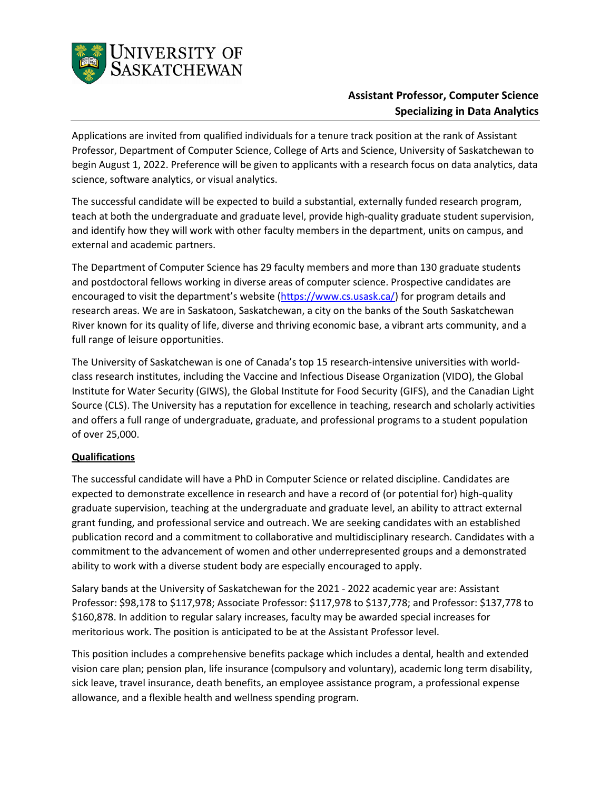

## **Assistant Professor, Computer Science Specializing in Data Analytics**

Applications are invited from qualified individuals for a tenure track position at the rank of Assistant Professor, Department of Computer Science, College of Arts and Science, University of Saskatchewan to begin August 1, 2022. Preference will be given to applicants with a research focus on data analytics, data science, software analytics, or visual analytics.

The successful candidate will be expected to build a substantial, externally funded research program, teach at both the undergraduate and graduate level, provide high-quality graduate student supervision, and identify how they will work with other faculty members in the department, units on campus, and external and academic partners.

The Department of Computer Science has 29 faculty members and more than 130 graduate students and postdoctoral fellows working in diverse areas of computer science. Prospective candidates are encouraged to visit the department's website [\(https://www.cs.usask.ca/\)](https://www.cs.usask.ca/) for program details and research areas. We are in Saskatoon, Saskatchewan, a city on the banks of the South Saskatchewan River known for its quality of life, diverse and thriving economic base, a vibrant arts community, and a full range of leisure opportunities.

The University of Saskatchewan is one of Canada's top 15 research-intensive universities with worldclass research institutes, including the Vaccine and Infectious Disease Organization (VIDO), the Global Institute for Water Security (GIWS), the Global Institute for Food Security (GIFS), and the Canadian Light Source (CLS). The University has a reputation for excellence in teaching, research and scholarly activities and offers a full range of undergraduate, graduate, and professional programs to a student population of over 25,000.

## **Qualifications**

The successful candidate will have a PhD in Computer Science or related discipline. Candidates are expected to demonstrate excellence in research and have a record of (or potential for) high-quality graduate supervision, teaching at the undergraduate and graduate level, an ability to attract external grant funding, and professional service and outreach. We are seeking candidates with an established publication record and a commitment to collaborative and multidisciplinary research. Candidates with a commitment to the advancement of women and other underrepresented groups and a demonstrated ability to work with a diverse student body are especially encouraged to apply.

Salary bands at the University of Saskatchewan for the 2021 - 2022 academic year are: Assistant Professor: \$98,178 to \$117,978; Associate Professor: \$117,978 to \$137,778; and Professor: \$137,778 to \$160,878. In addition to regular salary increases, faculty may be awarded special increases for meritorious work. The position is anticipated to be at the Assistant Professor level.

This position includes a comprehensive benefits package which includes a dental, health and extended vision care plan; pension plan, life insurance (compulsory and voluntary), academic long term disability, sick leave, travel insurance, death benefits, an employee assistance program, a professional expense allowance, and a flexible health and wellness spending program.